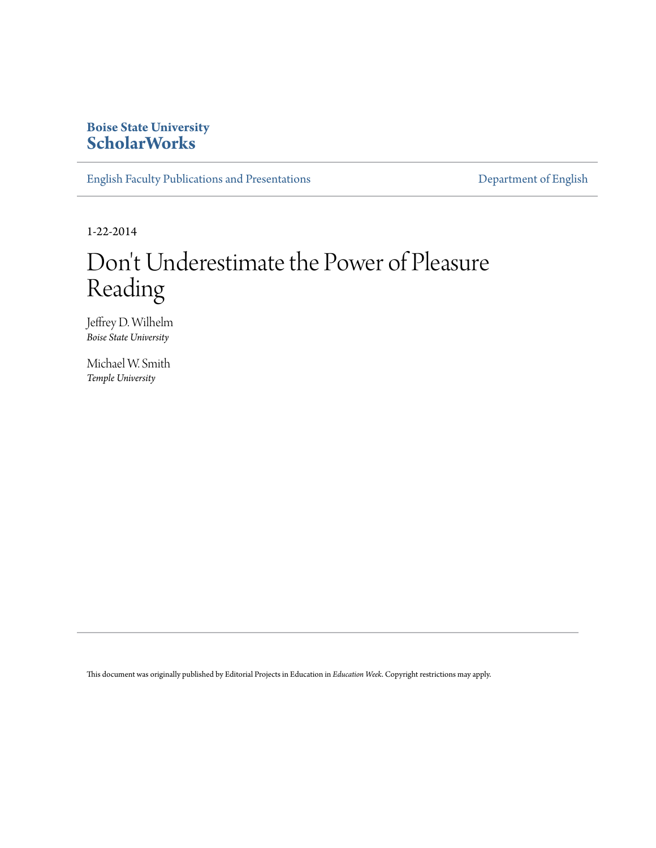### **Boise State University [ScholarWorks](https://scholarworks.boisestate.edu)**

[English Faculty Publications and Presentations](https://scholarworks.boisestate.edu/english_facpubs) **[Department of English](https://scholarworks.boisestate.edu/english)** 

1-22-2014

### Don 't Underestimate the Power of Pleasure Reading

Jeffrey D. Wilhelm *Boise State University*

Michael W. Smith *Temple University*

This document was originally published by Editorial Projects in Education in *Education Week*. Copyright restrictions may apply.